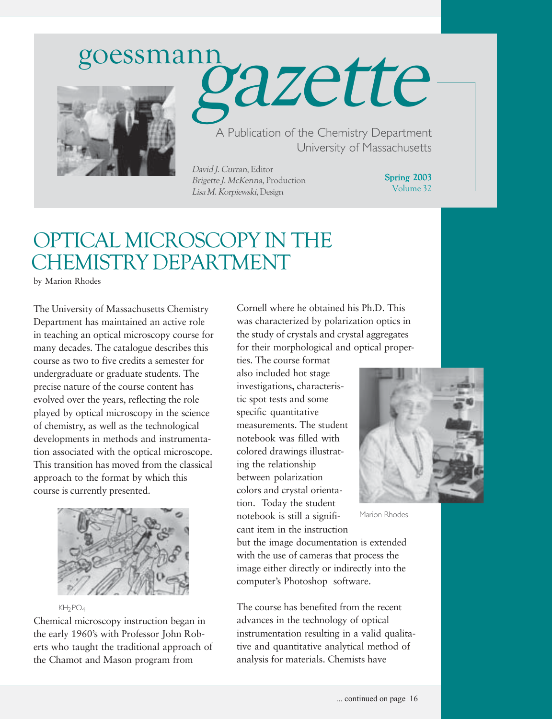# goessmann





A Publication of the Chemistry Department University of Massachusetts

David J. Curran, Editor Brigette J. McKenna, Production Lisa M. Korpiewski, Design

Spring 2003 Volume 32

### OPTICAL MICROSCOPY IN THE CHEMISTRY DEPARTMENT

by Marion Rhodes

The University of Massachusetts Chemistry Department has maintained an active role in teaching an optical microscopy course for many decades. The catalogue describes this course as two to five credits a semester for undergraduate or graduate students. The precise nature of the course content has evolved over the years, reflecting the role played by optical microscopy in the science of chemistry, as well as the technological developments in methods and instrumentation associated with the optical microscope. This transition has moved from the classical approach to the format by which this course is currently presented.



 $KH_{2}PO_{4}$ 

Chemical microscopy instruction began in the early 1960's with Professor John Roberts who taught the traditional approach of the Chamot and Mason program from

Cornell where he obtained his Ph.D. This was characterized by polarization optics in the study of crystals and crystal aggregates for their morphological and optical proper-

ties. The course format also included hot stage investigations, characteristic spot tests and some specific quantitative measurements. The student notebook was filled with colored drawings illustrating the relationship between polarization colors and crystal orientation. Today the student notebook is still a significant item in the instruction but the image documentation is extended with the use of cameras that process the image either directly or indirectly into the

computer's Photoshop software.

The course has benefited from the recent advances in the technology of optical instrumentation resulting in a valid qualitative and quantitative analytical method of analysis for materials. Chemists have



Marion Rhodes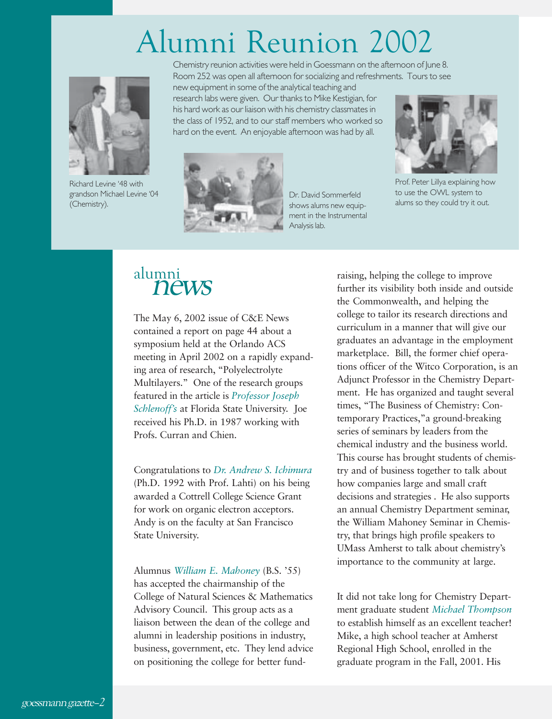# Alumni Reunion 2002



Richard Levine '48 with grandson Michael Levine '04 (Chemistry).

Chemistry reunion activities were held in Goessmann on the afternoon of June 8. Room 252 was open all afternoon for socializing and refreshments. Tours to see

new equipment in some of the analytical teaching and research labs were given. Our thanks to Mike Kestigian, for his hard work as our liaison with his chemistry classmates in the class of 1952, and to our staff members who worked so hard on the event. An enjoyable afternoon was had by all.



Dr. David Sommerfeld shows alums new equipment in the Instrumental Analysis lab.



Prof. Peter Lillya explaining how to use the OWL system to alums so they could try it out.

The May 6, 2002 issue of C&E News contained a report on page 44 about a symposium held at the Orlando ACS meeting in April 2002 on a rapidly expanding area of research, "Polyelectrolyte Multilayers." One of the research groups featured in the article is *Professor Joseph Schlenoff's* at Florida State University. Joe received his Ph.D. in 1987 working with Profs. Curran and Chien.

Congratulations to *Dr. Andrew S. Ichimura* (Ph.D. 1992 with Prof. Lahti) on his being awarded a Cottrell College Science Grant for work on organic electron acceptors. Andy is on the faculty at San Francisco State University.

Alumnus *William E. Mahoney* (B.S. '55) has accepted the chairmanship of the College of Natural Sciences & Mathematics Advisory Council. This group acts as a liaison between the dean of the college and alumni in leadership positions in industry, business, government, etc. They lend advice on positioning the college for better fund-

alumni<br> **news raising, helping the college to improve**<br>
further its visibility both inside and ou further its visibility both inside and outside the Commonwealth, and helping the college to tailor its research directions and curriculum in a manner that will give our graduates an advantage in the employment marketplace. Bill, the former chief operations officer of the Witco Corporation, is an Adjunct Professor in the Chemistry Department. He has organized and taught several times, "The Business of Chemistry: Contemporary Practices,"a ground-breaking series of seminars by leaders from the chemical industry and the business world. This course has brought students of chemistry and of business together to talk about how companies large and small craft decisions and strategies . He also supports an annual Chemistry Department seminar, the William Mahoney Seminar in Chemistry, that brings high profile speakers to UMass Amherst to talk about chemistry's importance to the community at large.

> It did not take long for Chemistry Department graduate student *Michael Thompson* to establish himself as an excellent teacher! Mike, a high school teacher at Amherst Regional High School, enrolled in the graduate program in the Fall, 2001. His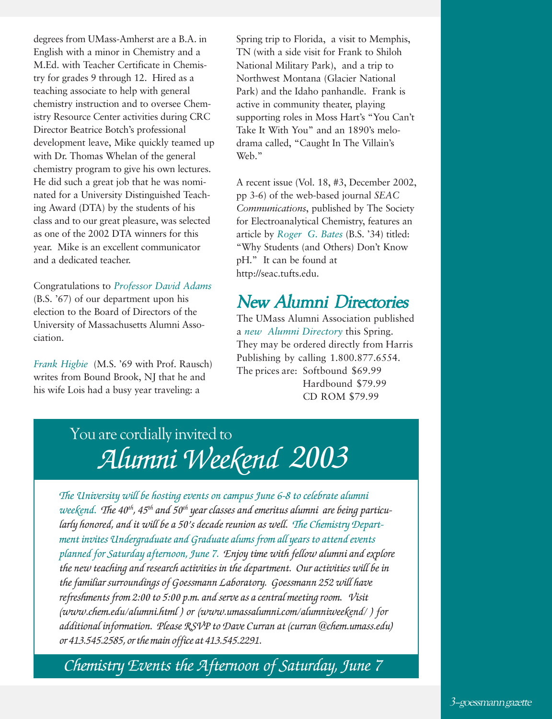degrees from UMass-Amherst are a B.A. in English with a minor in Chemistry and a M.Ed. with Teacher Certificate in Chemistry for grades 9 through 12. Hired as a teaching associate to help with general chemistry instruction and to oversee Chemistry Resource Center activities during CRC Director Beatrice Botch's professional development leave, Mike quickly teamed up with Dr. Thomas Whelan of the general chemistry program to give his own lectures. He did such a great job that he was nominated for a University Distinguished Teaching Award (DTA) by the students of his class and to our great pleasure, was selected as one of the 2002 DTA winners for this year. Mike is an excellent communicator and a dedicated teacher.

Congratulations to *Professor David Adams* (B.S. '67) of our department upon his election to the Board of Directors of the University of Massachusetts Alumni Association.

*Frank Higbie* (M.S. '69 with Prof. Rausch) writes from Bound Brook, NJ that he and his wife Lois had a busy year traveling: a

Spring trip to Florida, a visit to Memphis, TN (with a side visit for Frank to Shiloh National Military Park), and a trip to Northwest Montana (Glacier National Park) and the Idaho panhandle. Frank is active in community theater, playing supporting roles in Moss Hart's "You Can't Take It With You" and an 1890's melodrama called, "Caught In The Villain's Web."

A recent issue (Vol. 18, #3, December 2002, pp 3-6) of the web-based journal *SEAC Communications*, published by The Society for Electroanalytical Chemistry, features an article by *Roger G. Bates* (B.S. '34) titled: "Why Students (and Others) Don't Know pH." It can be found at http://seac.tufts.edu.

#### New Alumni Directories

The UMass Alumni Association published a *new Alumni Directory* this Spring. They may be ordered directly from Harris Publishing by calling 1.800.877.6554. The prices are: Softbound \$69.99 Hardbound \$79.99 CD ROM \$79.99

### You are cordially invited to *Alumni Weekend 2003*

*The University will be hosting events on campus June 6-8 to celebrate alumni weekend. The 40th, 45th and 50th year classes and emeritus alumni are being particularly honored, and it will be a 50's decade reunion as well. The Chemistry Department invites Undergraduate and Graduate alums from all years to attend events planned for Saturday afternoon, June 7. Enjoy time with fellow alumni and explore the new teaching and research activities in the department. Our activities will be in the familiar surroundings of Goessmann Laboratory. Goessmann 252 will have refreshments from 2:00 to 5:00 p.m. and serve as a central meeting room. Visit (www.chem.edu/alumni.html ) or (www.umassalumni.com/alumniweekend/ ) for additional information. Please RSVP to Dave Curran at (curran @chem.umass.edu) or 413.545.2585, or the main office at 413.545.2291.*

*Chemistry Events the Afternoon of Saturday, June 7*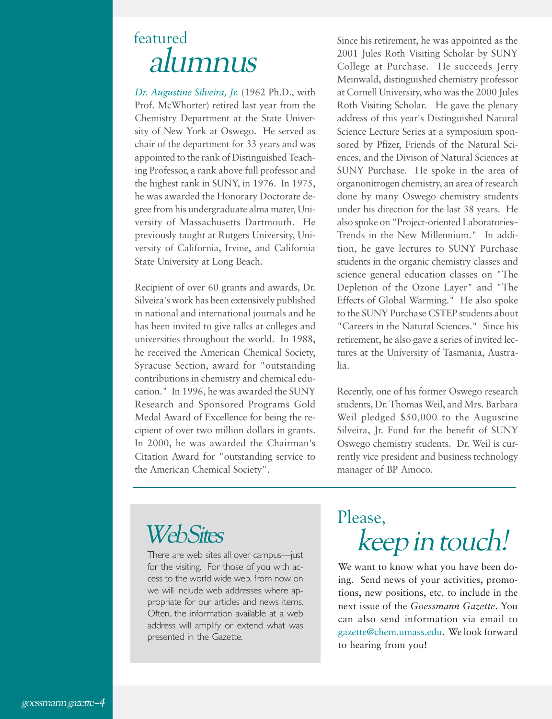### featured alumnus

*Dr. Augustine Silveira, Jr.* (1962 Ph.D., with Prof. McWhorter) retired last year from the Chemistry Department at the State University of New York at Oswego. He served as chair of the department for 33 years and was appointed to the rank of Distinguished Teaching Professor, a rank above full professor and the highest rank in SUNY, in 1976. In 1975, he was awarded the Honorary Doctorate degree from his undergraduate alma mater, University of Massachusetts Dartmouth. He previously taught at Rutgers University, University of California, Irvine, and California State University at Long Beach.

Recipient of over 60 grants and awards, Dr. Silveira's work has been extensively published in national and international journals and he has been invited to give talks at colleges and universities throughout the world. In 1988, he received the American Chemical Society, Syracuse Section, award for "outstanding contributions in chemistry and chemical education." In 1996, he was awarded the SUNY Research and Sponsored Programs Gold Medal Award of Excellence for being the recipient of over two million dollars in grants. In 2000, he was awarded the Chairman's Citation Award for "outstanding service to the American Chemical Society".

Since his retirement, he was appointed as the 2001 Jules Roth Visiting Scholar by SUNY College at Purchase. He succeeds Jerry Meinwald, distinguished chemistry professor at Cornell University, who was the 2000 Jules Roth Visiting Scholar. He gave the plenary address of this year's Distinguished Natural Science Lecture Series at a symposium sponsored by Pfizer, Friends of the Natural Sciences, and the Divison of Natural Sciences at SUNY Purchase. He spoke in the area of organonitrogen chemistry, an area of research done by many Oswego chemistry students under his direction for the last 38 years. He also spoke on "Project-oriented Laboratories– Trends in the New Millennium." In addition, he gave lectures to SUNY Purchase students in the organic chemistry classes and science general education classes on "The Depletion of the Ozone Layer" and "The Effects of Global Warming." He also spoke to the SUNY Purchase CSTEP students about "Careers in the Natural Sciences." Since his retirement, he also gave a series of invited lectures at the University of Tasmania, Australia.

Recently, one of his former Oswego research students, Dr. Thomas Weil, and Mrs. Barbara Weil pledged \$50,000 to the Augustine Silveira, Jr. Fund for the benefit of SUNY Oswego chemistry students. Dr. Weil is currently vice president and business technology manager of BP Amoco.

### **Web Sites**

for the visiting. For those of you with access to the world wide web, from now on we will include web addresses where appropriate for our articles and news items. Often, the information available at a web address will amplify or extend what was presented in the Gazette.

## Please, keep in touch! There are web sites all over campus—just

We want to know what you have been doing. Send news of your activities, promotions, new positions, etc. to include in the next issue of the *Goessmann Gazette*. You can also send information via email to gazette@chem.umass.edu. We look forward to hearing from you!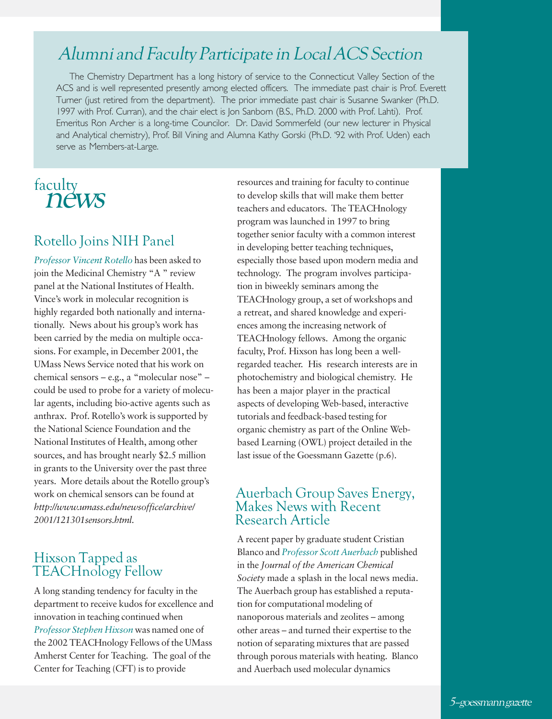#### Alumni and Faculty Participate in Local ACS Section

The Chemistry Department has a long history of service to the Connecticut Valley Section of the ACS and is well represented presently among elected officers. The immediate past chair is Prof. Everett Turner (just retired from the department). The prior immediate past chair is Susanne Swanker (Ph.D. 1997 with Prof. Curran), and the chair elect is Jon Sanborn (B.S., Ph.D. 2000 with Prof. Lahti). Prof. Emeritus Ron Archer is a long-time Councilor. Dr. David Sommerfeld (our new lecturer in Physical and Analytical chemistry), Prof. Bill Vining and Alumna Kathy Gorski (Ph.D. '92 with Prof. Uden) each serve as Members-at-Large.

#### faculty news

#### Rotello Joins NIH Panel

*Professor Vincent Rotello* has been asked to join the Medicinal Chemistry "A " review panel at the National Institutes of Health. Vince's work in molecular recognition is highly regarded both nationally and internationally. News about his group's work has been carried by the media on multiple occasions. For example, in December 2001, the UMass News Service noted that his work on chemical sensors – e.g., a "molecular nose" – could be used to probe for a variety of molecular agents, including bio-active agents such as anthrax. Prof. Rotello's work is supported by the National Science Foundation and the National Institutes of Health, among other sources, and has brought nearly \$2.5 million in grants to the University over the past three years. More details about the Rotello group's work on chemical sensors can be found at *http://www.umass.edu/newsoffice/archive/ 2001/121301sensors.html*.

#### Hixson Tapped as TEACHnology Fellow

A long standing tendency for faculty in the department to receive kudos for excellence and innovation in teaching continued when *Professor Stephen Hixson* was named one of the 2002 TEACHnology Fellows of the UMass Amherst Center for Teaching. The goal of the Center for Teaching (CFT) is to provide

resources and training for faculty to continue to develop skills that will make them better teachers and educators. The TEACHnology program was launched in 1997 to bring together senior faculty with a common interest in developing better teaching techniques, especially those based upon modern media and technology. The program involves participation in biweekly seminars among the TEACHnology group, a set of workshops and a retreat, and shared knowledge and experiences among the increasing network of TEACHnology fellows. Among the organic faculty, Prof. Hixson has long been a wellregarded teacher. His research interests are in photochemistry and biological chemistry. He has been a major player in the practical aspects of developing Web-based, interactive tutorials and feedback-based testing for organic chemistry as part of the Online Webbased Learning (OWL) project detailed in the last issue of the Goessmann Gazette (p.6).

#### Auerbach Group Saves Energy, Makes News with Recent Research Article

A recent paper by graduate student Cristian Blanco and *Professor Scott Auerbach* published in the *Journal of the American Chemical Society* made a splash in the local news media. The Auerbach group has established a reputation for computational modeling of nanoporous materials and zeolites – among other areas – and turned their expertise to the notion of separating mixtures that are passed through porous materials with heating. Blanco and Auerbach used molecular dynamics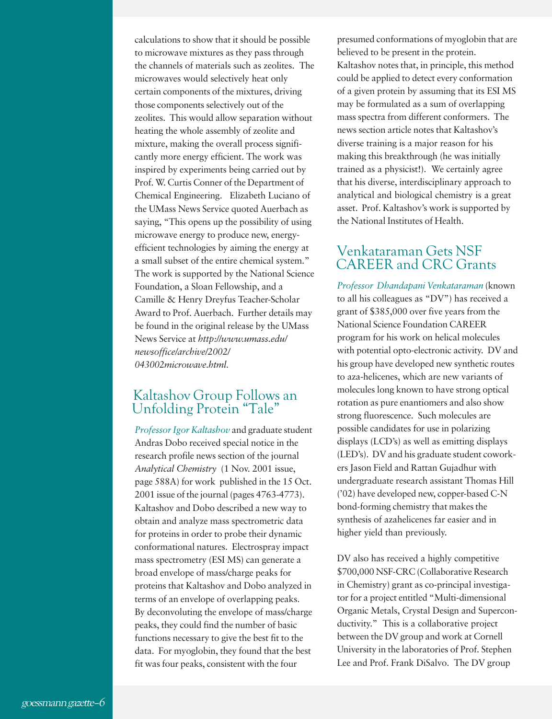calculations to show that it should be possible to microwave mixtures as they pass through the channels of materials such as zeolites. The microwaves would selectively heat only certain components of the mixtures, driving those components selectively out of the zeolites. This would allow separation without heating the whole assembly of zeolite and mixture, making the overall process significantly more energy efficient. The work was inspired by experiments being carried out by Prof. W. Curtis Conner of the Department of Chemical Engineering. Elizabeth Luciano of the UMass News Service quoted Auerbach as saying, "This opens up the possibility of using microwave energy to produce new, energyefficient technologies by aiming the energy at a small subset of the entire chemical system." The work is supported by the National Science Foundation, a Sloan Fellowship, and a Camille & Henry Dreyfus Teacher-Scholar Award to Prof. Auerbach. Further details may be found in the original release by the UMass News Service at *http://www.umass.edu/ newsoffice/archive/2002/ 043002microwave.html*.

#### Kaltashov Group Follows an Unfolding Protein "Tale"

*Professor Igor Kaltashov* and graduate student Andras Dobo received special notice in the research profile news section of the journal *Analytical Chemistry* (1 Nov. 2001 issue, page 588A) for work published in the 15 Oct. 2001 issue of the journal (pages 4763-4773). Kaltashov and Dobo described a new way to obtain and analyze mass spectrometric data for proteins in order to probe their dynamic conformational natures. Electrospray impact mass spectrometry (ESI MS) can generate a broad envelope of mass/charge peaks for proteins that Kaltashov and Dobo analyzed in terms of an envelope of overlapping peaks. By deconvoluting the envelope of mass/charge peaks, they could find the number of basic functions necessary to give the best fit to the data. For myoglobin, they found that the best fit was four peaks, consistent with the four

presumed conformations of myoglobin that are believed to be present in the protein. Kaltashov notes that, in principle, this method could be applied to detect every conformation of a given protein by assuming that its ESI MS may be formulated as a sum of overlapping mass spectra from different conformers. The news section article notes that Kaltashov's diverse training is a major reason for his making this breakthrough (he was initially trained as a physicist!). We certainly agree that his diverse, interdisciplinary approach to analytical and biological chemistry is a great asset. Prof. Kaltashov's work is supported by the National Institutes of Health.

#### Venkataraman Gets NSF CAREER and CRC Grants

*Professor Dhandapani Venkataraman* (known to all his colleagues as "DV") has received a grant of \$385,000 over five years from the National Science Foundation CAREER program for his work on helical molecules with potential opto-electronic activity. DV and his group have developed new synthetic routes to aza-helicenes, which are new variants of molecules long known to have strong optical rotation as pure enantiomers and also show strong fluorescence. Such molecules are possible candidates for use in polarizing displays (LCD's) as well as emitting displays (LED's). DV and his graduate student coworkers Jason Field and Rattan Gujadhur with undergraduate research assistant Thomas Hill ('02) have developed new, copper-based C-N bond-forming chemistry that makes the synthesis of azahelicenes far easier and in higher yield than previously.

DV also has received a highly competitive \$700,000 NSF-CRC (Collaborative Research in Chemistry) grant as co-principal investigator for a project entitled "Multi-dimensional Organic Metals, Crystal Design and Superconductivity." This is a collaborative project between the DV group and work at Cornell University in the laboratories of Prof. Stephen Lee and Prof. Frank DiSalvo. The DV group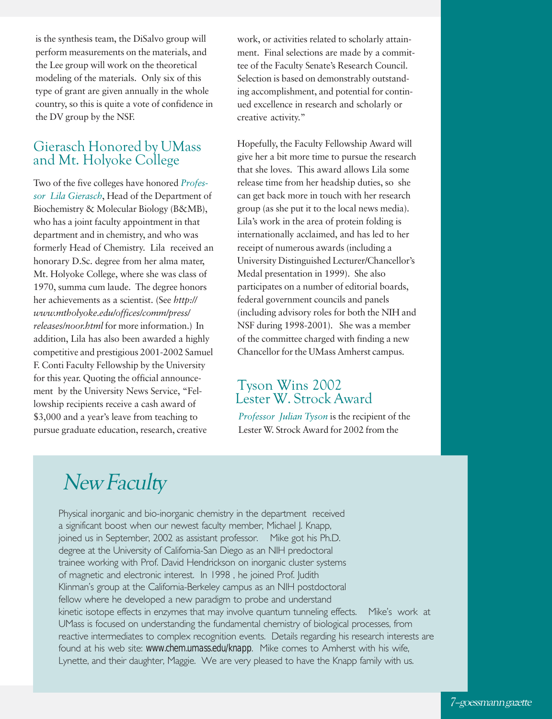is the synthesis team, the DiSalvo group will perform measurements on the materials, and the Lee group will work on the theoretical modeling of the materials. Only six of this type of grant are given annually in the whole country, so this is quite a vote of confidence in the DV group by the NSF.

#### Gierasch Honored by UMass and Mt. Holyoke College

Two of the five colleges have honored *Professor Lila Gierasch*, Head of the Department of Biochemistry & Molecular Biology (B&MB), who has a joint faculty appointment in that department and in chemistry, and who was formerly Head of Chemistry. Lila received an honorary D.Sc. degree from her alma mater, Mt. Holyoke College, where she was class of 1970, summa cum laude. The degree honors her achievements as a scientist. (See *http:// www.mtholyoke.edu/offices/comm/press/ releases/noor.html* for more information.) In addition, Lila has also been awarded a highly competitive and prestigious 2001-2002 Samuel F. Conti Faculty Fellowship by the University for this year. Quoting the official announcement by the University News Service, "Fellowship recipients receive a cash award of \$3,000 and a year's leave from teaching to pursue graduate education, research, creative

work, or activities related to scholarly attainment. Final selections are made by a committee of the Faculty Senate's Research Council. Selection is based on demonstrably outstanding accomplishment, and potential for continued excellence in research and scholarly or creative activity."

Hopefully, the Faculty Fellowship Award will give her a bit more time to pursue the research that she loves. This award allows Lila some release time from her headship duties, so she can get back more in touch with her research group (as she put it to the local news media). Lila's work in the area of protein folding is internationally acclaimed, and has led to her receipt of numerous awards (including a University Distinguished Lecturer/Chancellor's Medal presentation in 1999). She also participates on a number of editorial boards, federal government councils and panels (including advisory roles for both the NIH and NSF during 1998-2001). She was a member of the committee charged with finding a new Chancellor for the UMass Amherst campus.

#### Tyson Wins 2002 Lester W. Strock Award

*Professor Julian Tyson* is the recipient of the Lester W. Strock Award for 2002 from the

## New Faculty

Physical inorganic and bio-inorganic chemistry in the department received a significant boost when our newest faculty member, Michael J. Knapp, joined us in September, 2002 as assistant professor. Mike got his Ph.D. degree at the University of California-San Diego as an NIH predoctoral trainee working with Prof. David Hendrickson on inorganic cluster systems of magnetic and electronic interest. In 1998 , he joined Prof. Judith Klinman's group at the California-Berkeley campus as an NIH postdoctoral fellow where he developed a new paradigm to probe and understand kinetic isotope effects in enzymes that may involve quantum tunneling effects. Mike's work at UMass is focused on understanding the fundamental chemistry of biological processes, from reactive intermediates to complex recognition events. Details regarding his research interests are found at his web site: *www.chem.umass.edu/knapp*. Mike comes to Amherst with his wife, Lynette, and their daughter, Maggie. We are very pleased to have the Knapp family with us.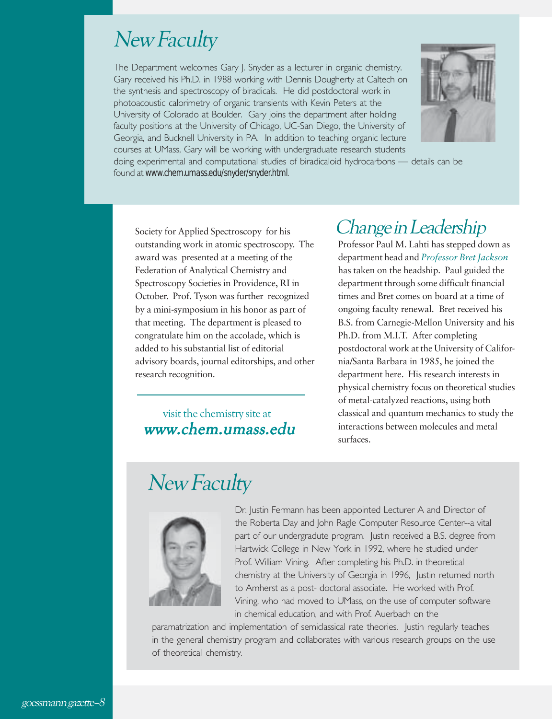### New Faculty

The Department welcomes Gary J. Snyder as a lecturer in organic chemistry. Gary received his Ph.D. in 1988 working with Dennis Dougherty at Caltech on the synthesis and spectroscopy of biradicals. He did postdoctoral work in photoacoustic calorimetry of organic transients with Kevin Peters at the University of Colorado at Boulder. Gary joins the department after holding faculty positions at the University of Chicago, UC-San Diego, the University of Georgia, and Bucknell University in PA. In addition to teaching organic lecture courses at UMass, Gary will be working with undergraduate research students



doing experimental and computational studies of biradicaloid hydrocarbons — details can be found at *www.chem.umass.edu/snyder/snyder.html*.

Society for Applied Spectroscopy for his outstanding work in atomic spectroscopy. The award was presented at a meeting of the Federation of Analytical Chemistry and Spectroscopy Societies in Providence, RI in October. Prof. Tyson was further recognized by a mini-symposium in his honor as part of that meeting. The department is pleased to congratulate him on the accolade, which is added to his substantial list of editorial advisory boards, journal editorships, and other research recognition.

#### visit the chemistry site at www.chem.umass.edu www.chem.umass.edu

### Change in Leadership

Professor Paul M. Lahti has stepped down as department head and *Professor Bret Jackson* has taken on the headship. Paul guided the department through some difficult financial times and Bret comes on board at a time of ongoing faculty renewal. Bret received his B.S. from Carnegie-Mellon University and his Ph.D. from M.I.T. After completing postdoctoral work at the University of California/Santa Barbara in 1985, he joined the department here. His research interests in physical chemistry focus on theoretical studies of metal-catalyzed reactions, using both classical and quantum mechanics to study the interactions between molecules and metal surfaces.

### New Faculty



Dr. Justin Fermann has been appointed Lecturer A and Director of the Roberta Day and John Ragle Computer Resource Center--a vital part of our undergradute program. Justin received a B.S. degree from Hartwick College in New York in 1992, where he studied under Prof. William Vining. After completing his Ph.D. in theoretical chemistry at the University of Georgia in 1996, Justin returned north to Amherst as a post- doctoral associate. He worked with Prof. Vining, who had moved to UMass, on the use of computer software in chemical education, and with Prof. Auerbach on the

paramatrization and implementation of semiclassical rate theories. Justin regularly teaches in the general chemistry program and collaborates with various research groups on the use of theoretical chemistry.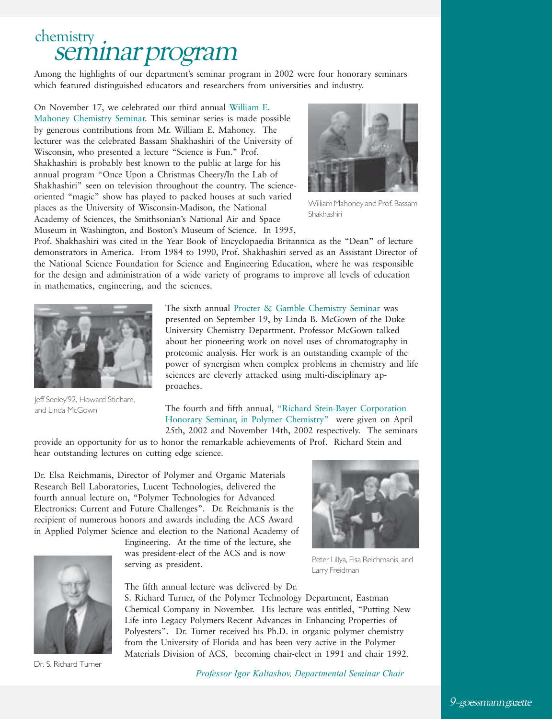# chemistry .<br>Seminar program

Among the highlights of our department's seminar program in 2002 were four honorary seminars which featured distinguished educators and researchers from universities and industry.

On November 17, we celebrated our third annual William E. Mahoney Chemistry Seminar. This seminar series is made possible by generous contributions from Mr. William E. Mahoney. The lecturer was the celebrated Bassam Shakhashiri of the University of Wisconsin, who presented a lecture "Science is Fun." Prof. Shakhashiri is probably best known to the public at large for his annual program "Once Upon a Christmas Cheery/In the Lab of Shakhashiri" seen on television throughout the country. The scienceoriented "magic" show has played to packed houses at such varied places as the University of Wisconsin-Madison, the National Academy of Sciences, the Smithsonian's National Air and Space Museum in Washington, and Boston's Museum of Science. In 1995,



William Mahoney and Prof. Bassam Shakhashiri

Prof. Shakhashiri was cited in the Year Book of Encyclopaedia Britannica as the "Dean" of lecture demonstrators in America. From 1984 to 1990, Prof. Shakhashiri served as an Assistant Director of the National Science Foundation for Science and Engineering Education, where he was responsible for the design and administration of a wide variety of programs to improve all levels of education in mathematics, engineering, and the sciences.



Jeff Seeley'92, Howard Stidham, and Linda McGown

The sixth annual Procter & Gamble Chemistry Seminar was presented on September 19, by Linda B. McGown of the Duke University Chemistry Department. Professor McGown talked about her pioneering work on novel uses of chromatography in proteomic analysis. Her work is an outstanding example of the power of synergism when complex problems in chemistry and life sciences are cleverly attacked using multi-disciplinary approaches.

The fourth and fifth annual, "Richard Stein-Bayer Corporation Honorary Seminar, in Polymer Chemistry" were given on April 25th, 2002 and November 14th, 2002 respectively. The seminars

provide an opportunity for us to honor the remarkable achievements of Prof. Richard Stein and hear outstanding lectures on cutting edge science.

Dr. Elsa Reichmanis, Director of Polymer and Organic Materials Research Bell Laboratories, Lucent Technologies, delivered the fourth annual lecture on, "Polymer Technologies for Advanced Electronics: Current and Future Challenges". Dr. Reichmanis is the recipient of numerous honors and awards including the ACS Award in Applied Polymer Science and election to the National Academy of



Dr. S. Richard Turner

Engineering. At the time of the lecture, she was president-elect of the ACS and is now serving as president.

The fifth annual lecture was delivered by Dr.



Peter Lillya, Elsa Reichmanis, and Larry Freidman

S. Richard Turner, of the Polymer Technology Department, Eastman Chemical Company in November. His lecture was entitled, "Putting New Life into Legacy Polymers-Recent Advances in Enhancing Properties of Polyesters". Dr. Turner received his Ph.D. in organic polymer chemistry from the University of Florida and has been very active in the Polymer Materials Division of ACS, becoming chair-elect in 1991 and chair 1992.

*Professor Igor Kaltashov, Departmental Seminar Chair*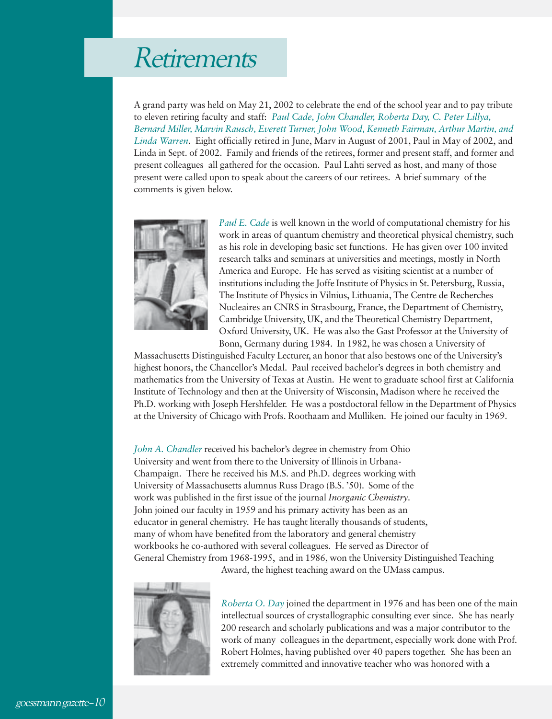## Retirements

A grand party was held on May 21, 2002 to celebrate the end of the school year and to pay tribute to eleven retiring faculty and staff: *Paul Cade, John Chandler, Roberta Day, C. Peter Lillya, Bernard Miller, Marvin Rausch, Everett Turner, John Wood, Kenneth Fairman, Arthur Martin, and Linda Warren*. Eight officially retired in June, Marv in August of 2001, Paul in May of 2002, and Linda in Sept. of 2002. Family and friends of the retirees, former and present staff, and former and present colleagues all gathered for the occasion. Paul Lahti served as host, and many of those present were called upon to speak about the careers of our retirees. A brief summary of the comments is given below.



*Paul E. Cade* is well known in the world of computational chemistry for his work in areas of quantum chemistry and theoretical physical chemistry, such as his role in developing basic set functions. He has given over 100 invited research talks and seminars at universities and meetings, mostly in North America and Europe. He has served as visiting scientist at a number of institutions including the Joffe Institute of Physics in St. Petersburg, Russia, The Institute of Physics in Vilnius, Lithuania, The Centre de Recherches Nucleaires an CNRS in Strasbourg, France, the Department of Chemistry, Cambridge University, UK, and the Theoretical Chemistry Department, Oxford University, UK. He was also the Gast Professor at the University of Bonn, Germany during 1984. In 1982, he was chosen a University of

Massachusetts Distinguished Faculty Lecturer, an honor that also bestows one of the University's highest honors, the Chancellor's Medal. Paul received bachelor's degrees in both chemistry and mathematics from the University of Texas at Austin. He went to graduate school first at California Institute of Technology and then at the University of Wisconsin, Madison where he received the Ph.D. working with Joseph Hershfelder. He was a postdoctoral fellow in the Department of Physics at the University of Chicago with Profs. Roothaam and Mulliken. He joined our faculty in 1969.

*John A. Chandler* received his bachelor's degree in chemistry from Ohio University and went from there to the University of Illinois in Urbana-Champaign. There he received his M.S. and Ph.D. degrees working with University of Massachusetts alumnus Russ Drago (B.S. '50). Some of the work was published in the first issue of the journal *Inorganic Chemistry*. John joined our faculty in 1959 and his primary activity has been as an educator in general chemistry. He has taught literally thousands of students, many of whom have benefited from the laboratory and general chemistry workbooks he co-authored with several colleagues. He served as Director of General Chemistry from 1968-1995, and in 1986, won the University Distinguished Teaching



Award, the highest teaching award on the UMass campus.

*Roberta O. Day* joined the department in 1976 and has been one of the main intellectual sources of crystallographic consulting ever since. She has nearly 200 research and scholarly publications and was a major contributor to the work of many colleagues in the department, especially work done with Prof. Robert Holmes, having published over 40 papers together. She has been an extremely committed and innovative teacher who was honored with a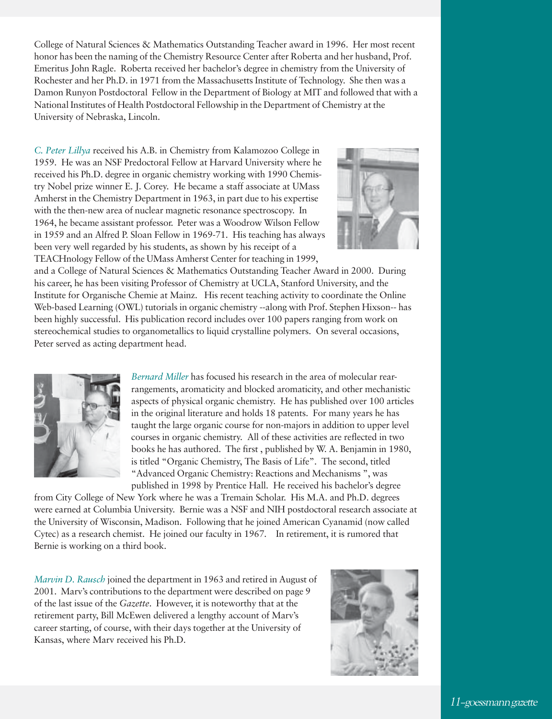College of Natural Sciences & Mathematics Outstanding Teacher award in 1996. Her most recent honor has been the naming of the Chemistry Resource Center after Roberta and her husband, Prof. Emeritus John Ragle. Roberta received her bachelor's degree in chemistry from the University of Rochester and her Ph.D. in 1971 from the Massachusetts Institute of Technology. She then was a Damon Runyon Postdoctoral Fellow in the Department of Biology at MIT and followed that with a National Institutes of Health Postdoctoral Fellowship in the Department of Chemistry at the University of Nebraska, Lincoln.

*C. Peter Lillya* received his A.B. in Chemistry from Kalamozoo College in 1959. He was an NSF Predoctoral Fellow at Harvard University where he received his Ph.D. degree in organic chemistry working with 1990 Chemistry Nobel prize winner E. J. Corey. He became a staff associate at UMass Amherst in the Chemistry Department in 1963, in part due to his expertise with the then-new area of nuclear magnetic resonance spectroscopy. In 1964, he became assistant professor. Peter was a Woodrow Wilson Fellow in 1959 and an Alfred P. Sloan Fellow in 1969-71. His teaching has always been very well regarded by his students, as shown by his receipt of a TEACHnology Fellow of the UMass Amherst Center for teaching in 1999,



and a College of Natural Sciences & Mathematics Outstanding Teacher Award in 2000. During his career, he has been visiting Professor of Chemistry at UCLA, Stanford University, and the Institute for Organische Chemie at Mainz. His recent teaching activity to coordinate the Online Web-based Learning (OWL) tutorials in organic chemistry --along with Prof. Stephen Hixson-- has been highly successful. His publication record includes over 100 papers ranging from work on stereochemical studies to organometallics to liquid crystalline polymers. On several occasions, Peter served as acting department head.



*Bernard Miller* has focused his research in the area of molecular rearrangements, aromaticity and blocked aromaticity, and other mechanistic aspects of physical organic chemistry. He has published over 100 articles in the original literature and holds 18 patents. For many years he has taught the large organic course for non-majors in addition to upper level courses in organic chemistry. All of these activities are reflected in two books he has authored. The first , published by W. A. Benjamin in 1980, is titled "Organic Chemistry, The Basis of Life". The second, titled "Advanced Organic Chemistry: Reactions and Mechanisms ", was published in 1998 by Prentice Hall. He received his bachelor's degree

from City College of New York where he was a Tremain Scholar. His M.A. and Ph.D. degrees were earned at Columbia University. Bernie was a NSF and NIH postdoctoral research associate at the University of Wisconsin, Madison. Following that he joined American Cyanamid (now called Cytec) as a research chemist. He joined our faculty in 1967. In retirement, it is rumored that Bernie is working on a third book.

*Marvin D. Rausch* joined the department in 1963 and retired in August of 2001. Marv's contributions to the department were described on page 9 of the last issue of the *Gazette*. However, it is noteworthy that at the retirement party, Bill McEwen delivered a lengthy account of Marv's career starting, of course, with their days together at the University of Kansas, where Marv received his Ph.D.

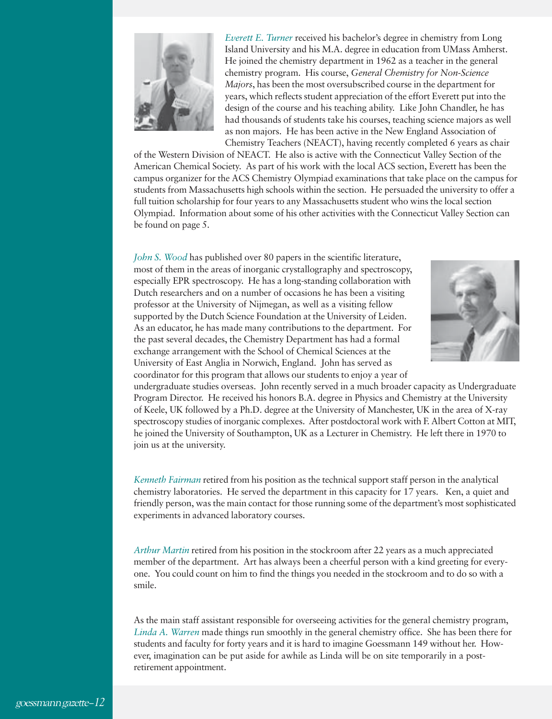

*Everett E. Turner* received his bachelor's degree in chemistry from Long Island University and his M.A. degree in education from UMass Amherst. He joined the chemistry department in 1962 as a teacher in the general chemistry program. His course, *General Chemistry for Non-Science Majors*, has been the most oversubscribed course in the department for years, which reflects student appreciation of the effort Everett put into the design of the course and his teaching ability. Like John Chandler, he has had thousands of students take his courses, teaching science majors as well as non majors. He has been active in the New England Association of Chemistry Teachers (NEACT), having recently completed 6 years as chair

of the Western Division of NEACT. He also is active with the Connecticut Valley Section of the American Chemical Society. As part of his work with the local ACS section, Everett has been the campus organizer for the ACS Chemistry Olympiad examinations that take place on the campus for students from Massachusetts high schools within the section. He persuaded the university to offer a full tuition scholarship for four years to any Massachusetts student who wins the local section Olympiad. Information about some of his other activities with the Connecticut Valley Section can be found on page 5.

*John S. Wood* has published over 80 papers in the scientific literature, most of them in the areas of inorganic crystallography and spectroscopy, especially EPR spectroscopy. He has a long-standing collaboration with Dutch researchers and on a number of occasions he has been a visiting professor at the University of Nijmegan, as well as a visiting fellow supported by the Dutch Science Foundation at the University of Leiden. As an educator, he has made many contributions to the department. For the past several decades, the Chemistry Department has had a formal exchange arrangement with the School of Chemical Sciences at the University of East Anglia in Norwich, England. John has served as coordinator for this program that allows our students to enjoy a year of



undergraduate studies overseas. John recently served in a much broader capacity as Undergraduate Program Director. He received his honors B.A. degree in Physics and Chemistry at the University of Keele, UK followed by a Ph.D. degree at the University of Manchester, UK in the area of X-ray spectroscopy studies of inorganic complexes. After postdoctoral work with F. Albert Cotton at MIT, he joined the University of Southampton, UK as a Lecturer in Chemistry. He left there in 1970 to join us at the university.

*Kenneth Fairman* retired from his position as the technical support staff person in the analytical chemistry laboratories. He served the department in this capacity for 17 years. Ken, a quiet and friendly person, was the main contact for those running some of the department's most sophisticated experiments in advanced laboratory courses.

*Arthur Martin* retired from his position in the stockroom after 22 years as a much appreciated member of the department. Art has always been a cheerful person with a kind greeting for everyone. You could count on him to find the things you needed in the stockroom and to do so with a smile.

As the main staff assistant responsible for overseeing activities for the general chemistry program, *Linda A. Warren* made things run smoothly in the general chemistry office. She has been there for students and faculty for forty years and it is hard to imagine Goessmann 149 without her. However, imagination can be put aside for awhile as Linda will be on site temporarily in a postretirement appointment.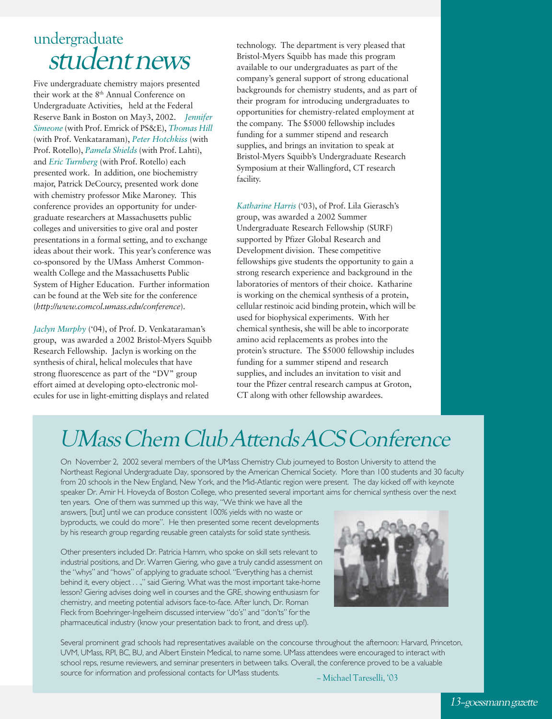### student news undergraduate

Five undergraduate chemistry majors presented their work at the 8<sup>th</sup> Annual Conference on Undergraduate Activities, held at the Federal Reserve Bank in Boston on May3, 2002. *Jennifer Simeone* (with Prof. Emrick of PS&E), *Thomas Hill* (with Prof. Venkataraman), *Peter Hotchkiss* (with Prof. Rotello), *Pamela Shields* (with Prof. Lahti), and *Eric Turnberg* (with Prof. Rotello) each presented work. In addition, one biochemistry major, Patrick DeCourcy, presented work done with chemistry professor Mike Maroney. This conference provides an opportunity for undergraduate researchers at Massachusetts public colleges and universities to give oral and poster presentations in a formal setting, and to exchange ideas about their work. This year's conference was co-sponsored by the UMass Amherst Commonwealth College and the Massachusetts Public System of Higher Education. Further information can be found at the Web site for the conference (*http://www.comcol.umass.edu/conference*).

*Jaclyn Murphy* ('04), of Prof. D. Venkataraman's group, was awarded a 2002 Bristol-Myers Squibb Research Fellowship. Jaclyn is working on the synthesis of chiral, helical molecules that have strong fluorescence as part of the "DV" group effort aimed at developing opto-electronic molecules for use in light-emitting displays and related

technology. The department is very pleased that Bristol-Myers Squibb has made this program available to our undergraduates as part of the company's general support of strong educational backgrounds for chemistry students, and as part of their program for introducing undergraduates to opportunities for chemistry-related employment at the company. The \$5000 fellowship includes funding for a summer stipend and research supplies, and brings an invitation to speak at Bristol-Myers Squibb's Undergraduate Research Symposium at their Wallingford, CT research facility.

*Katharine Harris* ('03), of Prof. Lila Gierasch's group, was awarded a 2002 Summer Undergraduate Research Fellowship (SURF) supported by Pfizer Global Research and Development division. These competitive fellowships give students the opportunity to gain a strong research experience and background in the laboratories of mentors of their choice. Katharine is working on the chemical synthesis of a protein, cellular restinoic acid binding protein, which will be used for biophysical experiments. With her chemical synthesis, she will be able to incorporate amino acid replacements as probes into the protein's structure. The \$5000 fellowship includes funding for a summer stipend and research supplies, and includes an invitation to visit and tour the Pfizer central research campus at Groton, CT along with other fellowship awardees.

## UMass Chem Club Attends ACS Conference

On November 2, 2002 several members of the UMass Chemistry Club journeyed to Boston University to attend the Northeast Regional Undergraduate Day, sponsored by the American Chemical Society. More than 100 students and 30 faculty from 20 schools in the New England, New York, and the Mid-Atlantic region were present. The day kicked off with keynote speaker Dr. Amir H. Hoveyda of Boston College, who presented several important aims for chemical synthesis over the next

ten years. One of them was summed up this way, "We think we have all the answers, [but] until we can produce consistent 100% yields with no waste or byproducts, we could do more". He then presented some recent developments by his research group regarding reusable green catalysts for solid state synthesis.

Other presenters included Dr. Patricia Hamm, who spoke on skill sets relevant to industrial positions, and Dr. Warren Giering, who gave a truly candid assessment on the "whys" and "hows" of applying to graduate school. "Everything has a chemist behind it, every object . . .," said Giering. What was the most important take-home lesson? Giering advises doing well in courses and the GRE, showing enthusiasm for chemistry, and meeting potential advisors face-to-face. After lunch, Dr. Roman Fleck from Boehringer-Ingelheim discussed interview "do's" and "don'ts" for the pharmaceutical industry (know your presentation back to front, and dress up!).



Several prominent grad schools had representatives available on the concourse throughout the afternoon: Harvard, Princeton, UVM, UMass, RPI, BC, BU, and Albert Einstein Medical, to name some. UMass attendees were encouraged to interact with school reps, resume reviewers, and seminar presenters in between talks. Overall, the conference proved to be a valuable source for information and professional contacts for UMass students. – Michael Tareselli, '03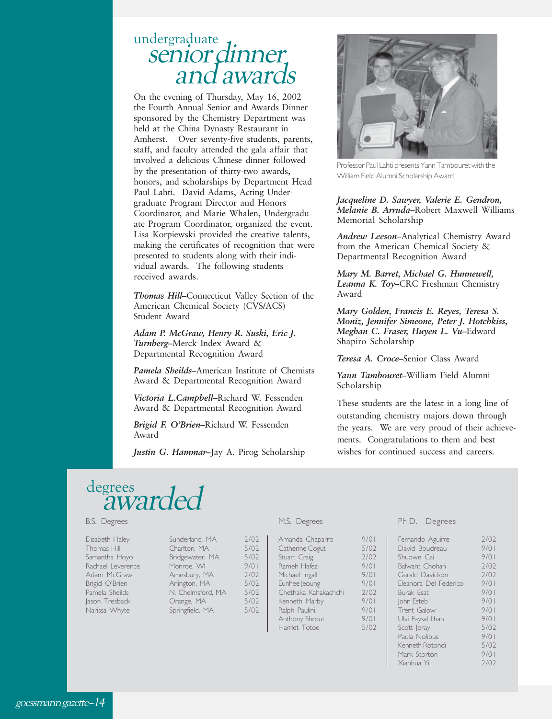#### senior dinner undergraduate and awards

On the evening of Thursday, May 16, 2002 the Fourth Annual Senior and Awards Dinner sponsored by the Chemistry Department was held at the China Dynasty Restaurant in Amherst. Over seventy-five students, parents, staff, and faculty attended the gala affair that involved a delicious Chinese dinner followed by the presentation of thirty-two awards, honors, and scholarships by Department Head Paul Lahti. David Adams, Acting Undergraduate Program Director and Honors Coordinator, and Marie Whalen, Undergraduate Program Coordinator, organized the event. Lisa Korpiewski provided the creative talents, making the certificates of recognition that were presented to students along with their individual awards. The following students received awards.

*Thomas Hill***–**Connecticut Valley Section of the American Chemical Society (CVS/ACS) Student Award

*Adam P. McGraw, Henry R. Suski, Eric J. Turnberg***–**Merck Index Award & Departmental Recognition Award

*Pamela Sheilds***–**American Institute of Chemists Award & Departmental Recognition Award

*Victoria L.Campbell***–**Richard W. Fessenden Award & Departmental Recognition Award

*Brigid F. O'Brien***–**Richard W. Fessenden Award

*Justin G. Hammar***–**Jay A. Pirog Scholarship



Professor Paul Lahti presents Yann Tambouret with the William Field Alumni Scholarship Award

*Jacqueline D. Sawyer, Valerie E. Gendron, Melanie B. Arruda***–**Robert Maxwell Williams Memorial Scholarship

*Andrew Leeson***–**Analytical Chemistry Award from the American Chemical Society & Departmental Recognition Award

*Mary M. Barret, Michael G. Hunnewell, Leanna K. Toy***–**CRC Freshman Chemistry Award

*Mary Golden, Francis E. Reyes, Teresa S. Moniz, Jennifer Simeone, Peter J. Hotchkiss, Meghan C. Fraser, Huyen L. Vu***–**Edward Shapiro Scholarship

*Teresa A. Croce***–**Senior Class Award

*Yann Tambouret***–**William Field Alumni Scholarship

These students are the latest in a long line of outstanding chemistry majors down through the years. We are very proud of their achievements. Congratulations to them and best wishes for continued success and careers.

# degrees<br>awarded

#### B.S. Degrees

| Elisabeth Haley   | Sunderland, MA    | 2/02 |
|-------------------|-------------------|------|
| Thomas Hill       | Charlton, MA      | 5/02 |
| Samantha Hoyo     | Bridgewater, MA   | 5/02 |
| Rachael Leverence | Monroe, WI        | 9/01 |
| Adam McGraw       | Amesbury, MA      | 2/02 |
| Brigid O'Brien    | Arlington, MA     | 5/02 |
| Pamela Sheilds    | N. Chelmsford, MA | 5/02 |
| Jason Tresback    | Orange, MA        | 5/02 |
| Narissa Whyte     | Springfield, MA   | 5/02 |

#### M.S. Degrees

Amanda Chaparro 9/01 Catherine Cogut 5/02<br>Stuart Craig 3/02 Stuart Craig<br>Rameh Hafezi 2/01 Rameh Hafezi Michael Ingall 9/01<br>Funhee leoung 9/01 Eunhee Jeoung 9/01<br>Chethaka Kahakachchi 2/02 Chethaka Kahakachchi Kenneth Marby 9/01<br>Ralph Paulini 9/01 Ralph Paulini 9/01<br>Anthony Shrout 9/01 Anthony Shrout Harriet Totoe 5/02

#### Ph.D. Degrees

| Fernando Aguirre      | 7/07 |
|-----------------------|------|
| David Boudreau        | 9/01 |
| Shuowei Cai           | 9/01 |
| Balwant Chohan        | 7/07 |
| Gerald Davidson       | 7/07 |
| Fleanora Del Federico | 9/01 |
| <b>Burak Esat</b>     | 9/01 |
| John Esteb            | 9/01 |
| Trent Galow           | 9/01 |
| Ulvi Faysal Ilhan     | 9/01 |
| Scott Joray           | 5/02 |
| Paula Nolibus         | 9/01 |
| Kenneth Rotondi       | 5/02 |
| Mark Storton          | 9/01 |
| Xianhua Yi            | 2702 |
|                       |      |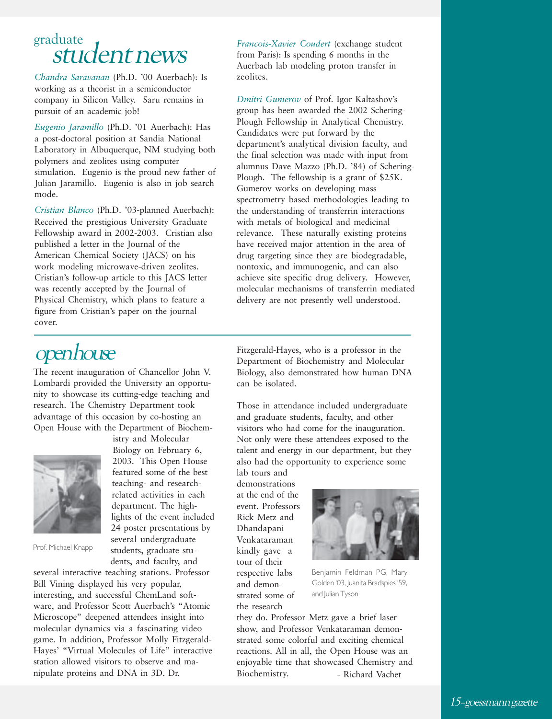# graduate

*Chandra Saravanan* (Ph.D. '00 Auerbach): Is working as a theorist in a semiconductor company in Silicon Valley. Saru remains in pursuit of an academic job!

*Eugenio Jaramillo* (Ph.D. '01 Auerbach): Has a post-doctoral position at Sandia National Laboratory in Albuquerque, NM studying both polymers and zeolites using computer simulation. Eugenio is the proud new father of Julian Jaramillo. Eugenio is also in job search mode.

*Cristian Blanco* (Ph.D. '03-planned Auerbach): Received the prestigious University Graduate Fellowship award in 2002-2003. Cristian also published a letter in the Journal of the American Chemical Society (JACS) on his work modeling microwave-driven zeolites. Cristian's follow-up article to this JACS letter was recently accepted by the Journal of Physical Chemistry, which plans to feature a figure from Cristian's paper on the journal cover.

Student news *Francois-Xavier Coudert* (exchange student<br>Student news **Francois-Xavier Coudert** (exchange student from Paris): Is spending 6 months in the Auerbach lab modeling proton transfer in zeolites.

> *Dmitri Gumerov* of Prof. Igor Kaltashov's group has been awarded the 2002 Schering-Plough Fellowship in Analytical Chemistry. Candidates were put forward by the department's analytical division faculty, and the final selection was made with input from alumnus Dave Mazzo (Ph.D. '84) of Schering-Plough. The fellowship is a grant of \$25K. Gumerov works on developing mass spectrometry based methodologies leading to the understanding of transferrin interactions with metals of biological and medicinal relevance. These naturally existing proteins have received major attention in the area of drug targeting since they are biodegradable, nontoxic, and immunogenic, and can also achieve site specific drug delivery. However, molecular mechanisms of transferrin mediated delivery are not presently well understood.

### open house

The recent inauguration of Chancellor John V. Lombardi provided the University an opportunity to showcase its cutting-edge teaching and research. The Chemistry Department took advantage of this occasion by co-hosting an Open House with the Department of Biochem-



istry and Molecular Biology on February 6, 2003. This Open House featured some of the best teaching- and researchrelated activities in each department. The highlights of the event included 24 poster presentations by several undergraduate students, graduate students, and faculty, and

Prof. Michael Knapp

several interactive teaching stations. Professor Bill Vining displayed his very popular, interesting, and successful ChemLand software, and Professor Scott Auerbach's "Atomic Microscope" deepened attendees insight into molecular dynamics via a fascinating video game. In addition, Professor Molly Fitzgerald-Hayes' "Virtual Molecules of Life" interactive station allowed visitors to observe and manipulate proteins and DNA in 3D. Dr.

Fitzgerald-Hayes, who is a professor in the Department of Biochemistry and Molecular Biology, also demonstrated how human DNA can be isolated.

Those in attendance included undergraduate and graduate students, faculty, and other visitors who had come for the inauguration. Not only were these attendees exposed to the talent and energy in our department, but they also had the opportunity to experience some lab tours and

demonstrations at the end of the event. Professors Rick Metz and Dhandapani Venkataraman kindly gave a tour of their respective labs and demonstrated some of the research



Benjamin Feldman PG, Mary Golden '03, Juanita Bradspies '59, and Julian Tyson

they do. Professor Metz gave a brief laser show, and Professor Venkataraman demonstrated some colorful and exciting chemical reactions. All in all, the Open House was an enjoyable time that showcased Chemistry and Biochemistry. - Richard Vachet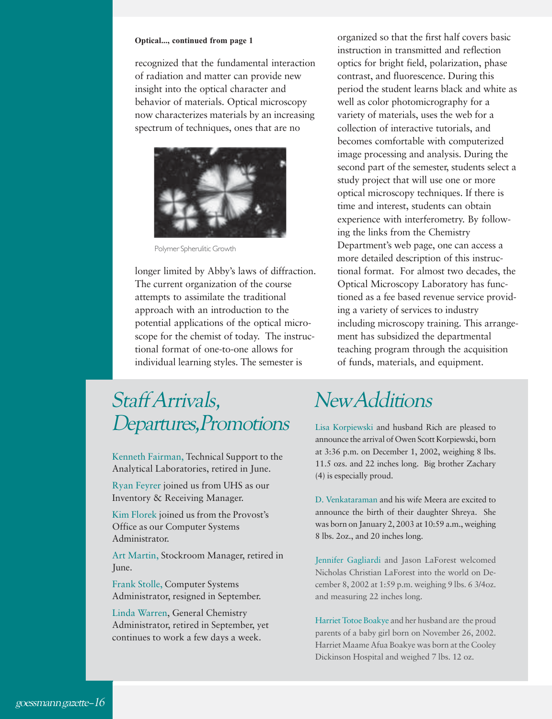#### **Optical..., continued from page 1**

recognized that the fundamental interaction of radiation and matter can provide new insight into the optical character and behavior of materials. Optical microscopy now characterizes materials by an increasing spectrum of techniques, ones that are no



Polymer Spherulitic Growth

longer limited by Abby's laws of diffraction. The current organization of the course attempts to assimilate the traditional approach with an introduction to the potential applications of the optical microscope for the chemist of today. The instructional format of one-to-one allows for individual learning styles. The semester is

### Staff Arrivals, Departures,Promotions

Kenneth Fairman, Technical Support to the Analytical Laboratories, retired in June.

Ryan Feyrer joined us from UHS as our Inventory & Receiving Manager.

Kim Florek joined us from the Provost's Office as our Computer Systems Administrator.

Art Martin, Stockroom Manager, retired in June.

Frank Stolle, Computer Systems Administrator, resigned in September.

Linda Warren, General Chemistry Administrator, retired in September, yet continues to work a few days a week.

organized so that the first half covers basic instruction in transmitted and reflection optics for bright field, polarization, phase contrast, and fluorescence. During this period the student learns black and white as well as color photomicrography for a variety of materials, uses the web for a collection of interactive tutorials, and becomes comfortable with computerized image processing and analysis. During the second part of the semester, students select a study project that will use one or more optical microscopy techniques. If there is time and interest, students can obtain experience with interferometry. By following the links from the Chemistry Department's web page, one can access a more detailed description of this instructional format. For almost two decades, the Optical Microscopy Laboratory has functioned as a fee based revenue service providing a variety of services to industry including microscopy training. This arrangement has subsidized the departmental teaching program through the acquisition of funds, materials, and equipment.

### New Additions

Lisa Korpiewski and husband Rich are pleased to announce the arrival of Owen Scott Korpiewski, born at 3:36 p.m. on December 1, 2002, weighing 8 lbs. 11.5 ozs. and 22 inches long. Big brother Zachary (4) is especially proud.

D. Venkataraman and his wife Meera are excited to announce the birth of their daughter Shreya. She was born on January 2, 2003 at 10:59 a.m., weighing 8 lbs. 2oz., and 20 inches long.

Jennifer Gagliardi and Jason LaForest welcomed Nicholas Christian LaForest into the world on December 8, 2002 at 1:59 p.m. weighing 9 lbs. 6 3/4oz. and measuring 22 inches long.

Harriet Totoe Boakye and her husband are the proud parents of a baby girl born on November 26, 2002. Harriet Maame Afua Boakye was born at the Cooley Dickinson Hospital and weighed 7 lbs. 12 oz.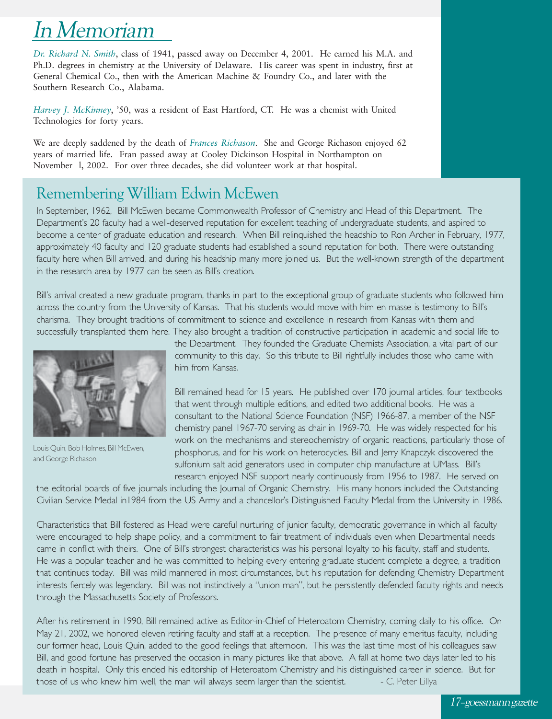## In Memoriam

*Dr. Richard N. Smith*, class of 1941, passed away on December 4, 2001. He earned his M.A. and Ph.D. degrees in chemistry at the University of Delaware. His career was spent in industry, first at General Chemical Co., then with the American Machine & Foundry Co., and later with the Southern Research Co., Alabama.

*Harvey J. McKinney*, '50, was a resident of East Hartford, CT. He was a chemist with United Technologies for forty years.

We are deeply saddened by the death of *Frances Richason*. She and George Richason enjoyed 62 years of married life. Fran passed away at Cooley Dickinson Hospital in Northampton on November l, 2002. For over three decades, she did volunteer work at that hospital.

#### Remembering William Edwin McEwen

In September, 1962, Bill McEwen became Commonwealth Professor of Chemistry and Head of this Department. The Department's 20 faculty had a well-deserved reputation for excellent teaching of undergraduate students, and aspired to become a center of graduate education and research. When Bill relinquished the headship to Ron Archer in February, 1977, approximately 40 faculty and 120 graduate students had established a sound reputation for both. There were outstanding faculty here when Bill arrived, and during his headship many more joined us. But the well-known strength of the department in the research area by 1977 can be seen as Bill's creation.

Bill's arrival created a new graduate program, thanks in part to the exceptional group of graduate students who followed him across the country from the University of Kansas. That his students would move with him en masse is testimony to Bill's charisma. They brought traditions of commitment to science and excellence in research from Kansas with them and successfully transplanted them here. They also brought a tradition of constructive participation in academic and social life to



Louis Quin, Bob Holmes, Bill McEwen, and George Richason

the Department. They founded the Graduate Chemists Association, a vital part of our community to this day. So this tribute to Bill rightfully includes those who came with him from Kansas.

Bill remained head for 15 years. He published over 170 journal articles, four textbooks that went through multiple editions, and edited two additional books. He was a consultant to the National Science Foundation (NSF) 1966-87, a member of the NSF chemistry panel 1967-70 serving as chair in 1969-70. He was widely respected for his work on the mechanisms and stereochemistry of organic reactions, particularly those of phosphorus, and for his work on heterocycles. Bill and Jerry Knapczyk discovered the sulfonium salt acid generators used in computer chip manufacture at UMass. Bill's research enjoyed NSF support nearly continuously from 1956 to 1987. He served on

the editorial boards of five journals including the Journal of Organic Chemistry. His many honors included the Outstanding Civilian Service Medal in1984 from the US Army and a chancellor's Distinguished Faculty Medal from the University in 1986.

Characteristics that Bill fostered as Head were careful nurturing of junior faculty, democratic governance in which all faculty were encouraged to help shape policy, and a commitment to fair treatment of individuals even when Departmental needs came in conflict with theirs. One of Bill's strongest characteristics was his personal loyalty to his faculty, staff and students. He was a popular teacher and he was committed to helping every entering graduate student complete a degree, a tradition that continues today. Bill was mild mannered in most circumstances, but his reputation for defending Chemistry Department interests fiercely was legendary. Bill was not instinctively a "union man", but he persistently defended faculty rights and needs through the Massachusetts Society of Professors.

After his retirement in 1990, Bill remained active as Editor-in-Chief of Heteroatom Chemistry, coming daily to his office. On May 21, 2002, we honored eleven retiring faculty and staff at a reception. The presence of many emeritus faculty, including our former head, Louis Quin, added to the good feelings that afternoon. This was the last time most of his colleagues saw Bill, and good fortune has preserved the occasion in many pictures like that above. A fall at home two days later led to his death in hospital. Only this ended his editorship of Heteroatom Chemistry and his distinguished career in science. But for those of us who knew him well, the man will always seem larger than the scientist. - C. Peter Lillya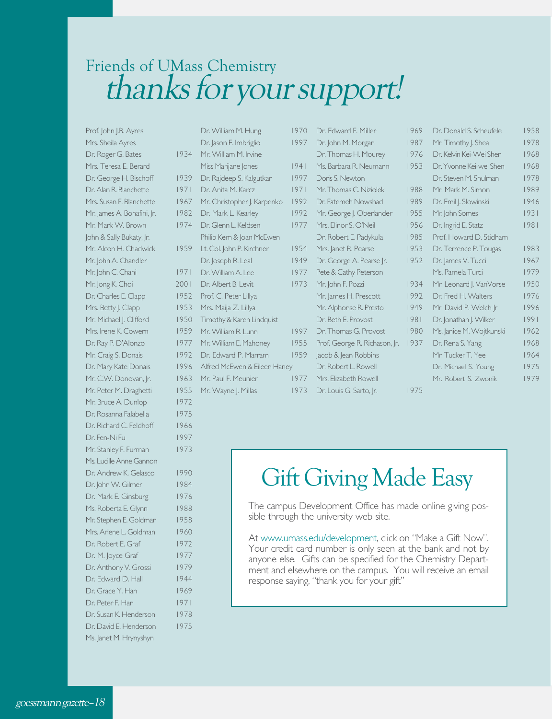### Friends of UMass Chemistry thanks for your support!

Prof. John J.B. Ayres Mrs. Sheila Ayres Dr. Roger G. Bates Mrs. Teresa E. Berard Dr. George H. Bischoff Dr. Alan R. Blanchette Mrs. Susan F. Blanchette Mr. James A. Bonafini, Jr. Mr. Mark W. Brown John & Sally Bukaty, Jr. Mr. Alcon H. Chadwick Mr. John A. Chandler Mr. John C. Chani Mr. Jong K. Choi Dr. Charles E. Clapp Mrs. Betty J. Clapp Mr. Michael J. Clifford Mrs. Irene K. Cowern Dr. Ray P. D'Alonzo Mr. Craig S. Donais Dr. Mary Kate Donais Mr. C.W. Donovan, Ir. Mr. Peter M. Draghetti Mr. Bruce A. Dunlop 1972 Dr. Rosanna Falabella 1975 Dr. Richard C. Feldhoff 1966 Dr. Fen-Ni Fu 1997 Mr. Stanley F. Furman 1973 Ms. Lucille Anne Gannon Dr. Andrew K. Gelasco 1990 Dr. John W. Gilmer 1984 Dr. Mark E. Ginsburg 1976 Ms. Roberta E. Glynn 1988 Mr. Stephen E. Goldman 1958 Mrs. Arlene L. Goldman 1960 Dr. Robert E. Graf 1972 Dr. M. Joyce Graf 1977 Dr. Anthony V. Grossi 1979 Dr. Edward D. Hall 1944 Dr. Grace Y. Han 1969 Dr. Peter F. Han 1971 Dr. Susan K. Henderson 1978 Dr. David E. Henderson 1975 Ms. Janet M. Hrynyshyn

|     | Dr. William M. Hung          | 1970 |
|-----|------------------------------|------|
|     | Dr. Jason E. Imbriglio       | 1997 |
| 934 | Mr. William M. Irvine        |      |
|     | Miss Marijane Jones          | 1941 |
| 939 | Dr. Rajdeep S. Kalgutkar     | 1997 |
| 971 | Dr. Anita M. Karcz           | 1971 |
| 967 | Mr. Christopher J. Karpenko  | 1992 |
| 982 | Dr. Mark L. Kearley          | 1992 |
| 974 | Dr. Glenn L. Keldsen         | 1977 |
|     | Philip Kern & Joan McEwen    |      |
| 959 | Lt. Col. John P. Kirchner    | 1954 |
|     | Dr. Joseph R. Leal           | 1949 |
| 971 | Dr. William A. Lee           | 1977 |
| 001 | Dr. Albert B. Levit.         | 1973 |
| 952 | Prof. C. Peter Lillya        |      |
| 953 | Mrs. Maija Z. Lillya         |      |
| 950 | Timothy & Karen Lindquist    |      |
| 959 | Mr. William R. Lunn          | 1997 |
| 977 | Mr. William E. Mahoney       | 1955 |
| 992 | Dr. Edward P. Marram         | 1959 |
| 996 | Alfred McEwen & Eileen Haney |      |
| 963 | Mr. Paul F. Meunier          | 1977 |
| 955 | Mr. Wayne J. Millas          | 1973 |
|     |                              |      |

| 1970 | Dr. Edward F. Miller          | 1969 | Dr. Donald S. Scheufele  | 1958 |
|------|-------------------------------|------|--------------------------|------|
| 1997 | Dr. John M. Morgan            | 1987 | Mr. Timothy J. Shea      | 1978 |
|      | Dr. Thomas H. Mourey          | 1976 | Dr. Kelvin Kei-Wei Shen  | 1968 |
| 1941 | Ms. Barbara R. Neumann        | 1953 | Dr. Yvonne Kei-wei Shen  | 1968 |
| 1997 | Doris S. Newton               |      | Dr. Steven M. Shulman    | 1978 |
| 1971 | Mr. Thomas C. Niziolek        | 1988 | Mr. Mark M. Simon        | 1989 |
| 1992 | Dr. Fatemeh Nowshad           | 1989 | Dr. Emil J. Slowinski    | 1946 |
| 1992 | Mr. George J. Oberlander      | 1955 | Mr. John Somes           | 1931 |
| 1977 | Mrs. Elinor S. O'Neil         | 1956 | Dr. Ingrid E. Statz      | 1981 |
|      | Dr. Robert E. Padykula        | 1985 | Prof. Howard D. Stidham  |      |
| 1954 | Mrs. Janet R. Pearse          | 1953 | Dr. Terrence P. Tougas   | 1983 |
| 1949 | Dr. George A. Pearse  r.      | 1952 | Dr. James V. Tucci       | 1967 |
| 1977 | Pete & Cathy Peterson         |      | Ms. Pamela Turci         | 1979 |
| 1973 | Mr. John F. Pozzi             | 1934 | Mr. Leonard J. VanVorse  | 1950 |
|      | Mr. James H. Prescott         | 1992 | Dr. Fred H. Walters      | 1976 |
|      | Mr. Alphonse R. Presto        | 1949 | Mr. David P. Welch Ir    | 1996 |
|      | Dr. Beth F. Provost           | 1981 | Dr. Jonathan J. Wilker   | 1991 |
| 1997 | Dr. Thomas G. Provost         | 1980 | Ms. Janice M. Wojtkunski | 1962 |
| 1955 | Prof. George R. Richason, Jr. | 1937 | Dr. Rena S. Yang         | 1968 |
| 1959 | Jacob & Jean Robbins          |      | Mr. Tucker T. Yee        | 1964 |
| Ņ.   | Dr. Robert L. Rowell          |      | Dr. Michael S. Young     | 1975 |
| 1977 | Mrs. Elizabeth Rowell         |      | Mr. Robert S. Zwonik     | 1979 |
| 1973 | Dr. Louis G. Sarto, Jr.       | 1975 |                          |      |
|      |                               |      |                          |      |

## Gift Giving Made Easy

The campus Development Office has made online giving possible through the university web site.

At www.umass.edu/development, click on "Make a Gift Now". Your credit card number is only seen at the bank and not by anyone else. Gifts can be specified for the Chemistry Department and elsewhere on the campus. You will receive an email response saying, "thank you for your gift"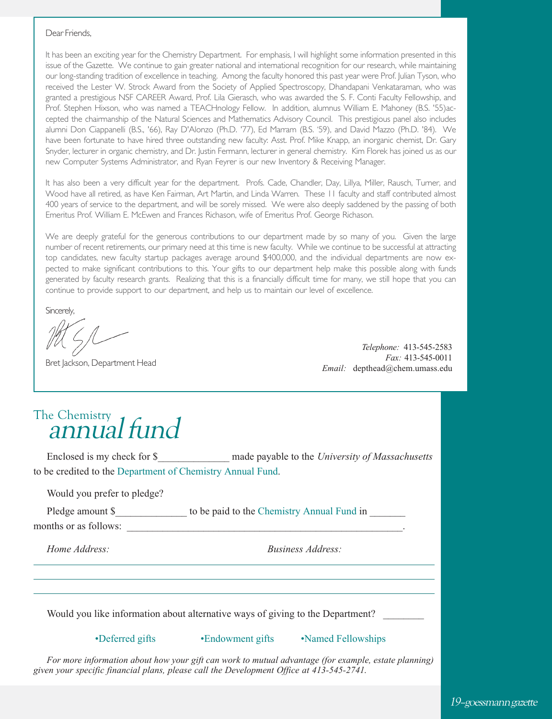#### Dear Friends,

It has been an exciting year for the Chemistry Department. For emphasis, I will highlight some information presented in this issue of the Gazette. We continue to gain greater national and international recognition for our research, while maintaining our long-standing tradition of excellence in teaching. Among the faculty honored this past year were Prof. Julian Tyson, who received the Lester W. Strock Award from the Society of Applied Spectroscopy, Dhandapani Venkataraman, who was granted a prestigious NSF CAREER Award, Prof. Lila Gierasch, who was awarded the S. F. Conti Faculty Fellowship, and Prof. Stephen Hixson, who was named a TEACHnology Fellow. In addition, alumnus William E. Mahoney (B.S. '55)accepted the chairmanship of the Natural Sciences and Mathematics Advisory Council. This prestigious panel also includes alumni Don Ciappanelli (B.S., '66), Ray D'Alonzo (Ph.D. '77), Ed Marram (B.S. '59), and David Mazzo (Ph.D. '84). We have been fortunate to have hired three outstanding new faculty: Asst. Prof. Mike Knapp, an inorganic chemist, Dr. Gary Snyder, lecturer in organic chemistry, and Dr. Justin Fermann, lecturer in general chemistry. Kim Florek has joined us as our new Computer Systems Administrator, and Ryan Feyrer is our new Inventory & Receiving Manager.

It has also been a very difficult year for the department. Profs. Cade, Chandler, Day, Lillya, Miller, Rausch, Turner, and Wood have all retired, as have Ken Fairman, Art Martin, and Linda Warren. These 11 faculty and staff contributed almost 400 years of service to the department, and will be sorely missed. We were also deeply saddened by the passing of both Emeritus Prof. William E. McEwen and Frances Richason, wife of Emeritus Prof. George Richason.

We are deeply grateful for the generous contributions to our department made by so many of you. Given the large number of recent retirements, our primary need at this time is new faculty. While we continue to be successful at attracting top candidates, new faculty startup packages average around \$400,000, and the individual departments are now expected to make significant contributions to this. Your gifts to our department help make this possible along with funds generated by faculty research grants. Realizing that this is a financially difficult time for many, we still hope that you can continue to provide support to our department, and help us to maintain our level of excellence.

Sincerely,

Bret Jackson, Department Head

*Telephone:* 413-545-2583 *Fax:* 413-545-0011 *Email:* depthead@chem.umass.edu

# The Chemistry<br>annual fund

Enclosed is my check for \$<sup>percept</sup> made payable to the *University of Massachusetts* to be credited to the Department of Chemistry Annual Fund.

Would you prefer to pledge?

Pledge amount \$ The to be paid to the Chemistry Annual Fund in  $\mathbb{R}^n$ 

months or as follows:

*Home Address: Business Address:*

Would you like information about alternative ways of giving to the Department?

•Deferred gifts •Endowment gifts •Named Fellowships

*For more information about how your gift can work to mutual advantage (for example, estate planning) given your specific financial plans, please call the Development Office at 413-545-2741.*